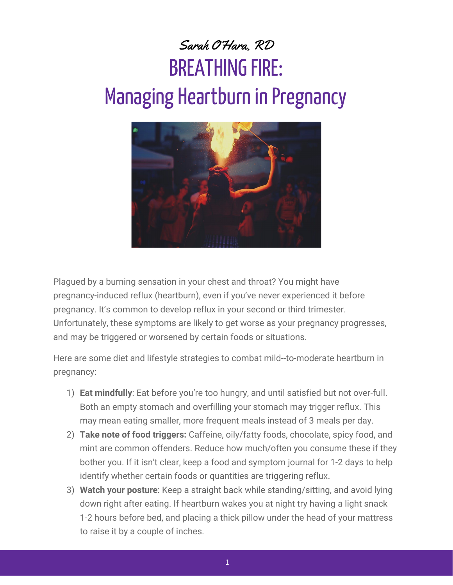## Sarah O'Hara, RD **BREATHING FIRE:** Managing Heartburn in Pregnancy



Plagued by a burning sensation in your chest and throat? You might have pregnancy-induced reflux (heartburn), even if you've never experienced it before pregnancy. It's common to develop reflux in your second or third trimester. Unfortunately, these symptoms are likely to get worse as your pregnancy progresses, and may be triggered or worsened by certain foods or situations.

Here are some diet and lifestyle strategies to combat mild--to-moderate heartburn in pregnancy:

- 1) **Eat mindfully**: Eat before you're too hungry, and until satisfied but not over-full. Both an empty stomach and overfilling your stomach may trigger reflux. This may mean eating smaller, more frequent meals instead of 3 meals per day.
- 2) **Take note of food triggers:** Caffeine, oily/fatty foods, chocolate, spicy food, and mint are common offenders. Reduce how much/often you consume these if they bother you. If it isn't clear, keep a food and symptom journal for 1-2 days to help identify whether certain foods or quantities are triggering reflux.
- 3) **Watch your posture**: Keep a straight back while standing/sitting, and avoid lying down right after eating. If heartburn wakes you at night try having a light snack 1-2 hours before bed, and placing a thick pillow under the head of your mattress to raise it by a couple of inches.